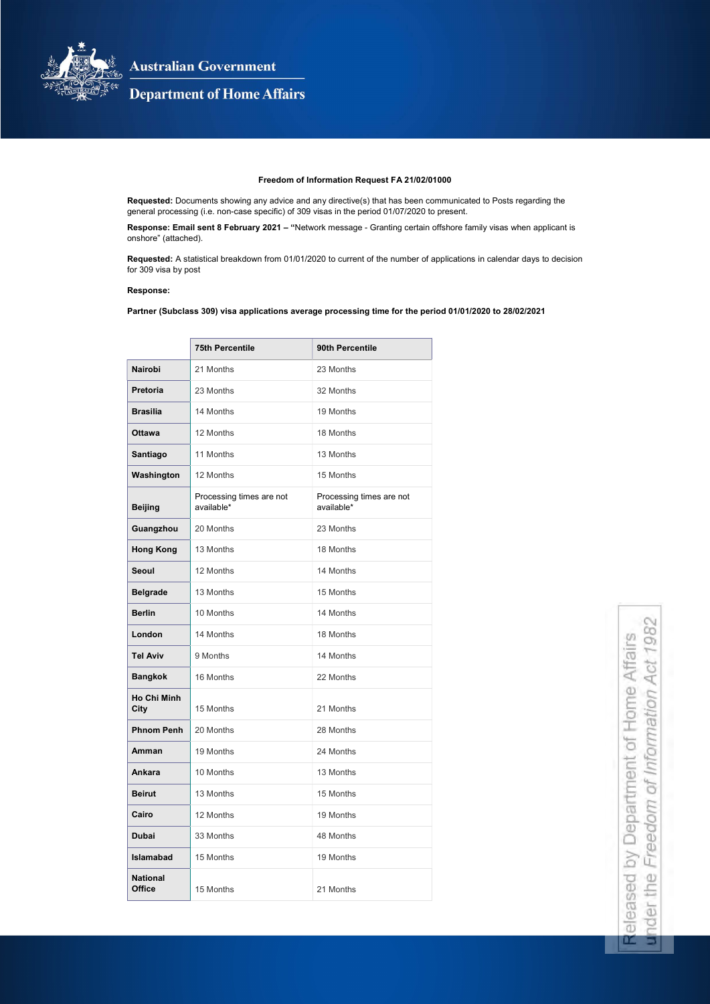

**Australian Government** 

# **Department of Home Affairs**

## Freedom of Information Request FA 21/02/01000

Requested: Documents showing any advice and any directive(s) that has been communicated to Posts regarding the general processing (i.e. non-case specific) of 309 visas in the period 01/07/2020 to present.

Response: Email sent 8 February 2021 – "Network message - Granting certain offshore family visas when applicant is onshore" (attached).

Requested: A statistical breakdown from 01/01/2020 to current of the number of applications in calendar days to decision for 309 visa by post

#### Response:

Partner (Subclass 309) visa applications average processing time for the period 01/01/2020 to 28/02/2021

|                                   | <b>75th Percentile</b>                 | 90th Percentile                        |
|-----------------------------------|----------------------------------------|----------------------------------------|
| <b>Nairobi</b>                    | 21 Months                              | 23 Months                              |
| <b>Pretoria</b>                   | 23 Months                              | 32 Months                              |
| <b>Brasilia</b>                   | 14 Months                              | 19 Months                              |
| <b>Ottawa</b>                     | 12 Months                              | 18 Months                              |
| <b>Santiago</b>                   | 11 Months                              | 13 Months                              |
| Washington                        | 12 Months                              | 15 Months                              |
| <b>Beijing</b>                    | Processing times are not<br>available* | Processing times are not<br>available* |
| Guangzhou                         | 20 Months                              | 23 Months                              |
| <b>Hong Kong</b>                  | 13 Months                              | 18 Months                              |
| <b>Seoul</b>                      | 12 Months                              | 14 Months                              |
| <b>Belgrade</b>                   | 13 Months                              | 15 Months                              |
| <b>Berlin</b>                     | 10 Months                              | 14 Months                              |
| London                            | 14 Months                              | 18 Months                              |
| <b>Tel Aviv</b>                   | 9 Months                               | 14 Months                              |
| <b>Bangkok</b>                    | 16 Months                              | 22 Months                              |
| <b>Ho Chi Minh</b><br><b>City</b> | 15 Months                              | 21 Months                              |
| <b>Phnom Penh</b>                 | 20 Months                              | 28 Months                              |
| Amman                             | 19 Months                              | 24 Months                              |
| <b>Ankara</b>                     | 10 Months                              | 13 Months                              |
| <b>Beirut</b>                     | 13 Months                              | 15 Months                              |
| Cairo                             | 12 Months                              | 19 Months                              |
| <b>Dubai</b>                      | 33 Months                              | 48 Months                              |
| <b>Islamabad</b>                  | 15 Months                              | 19 Months                              |
| <b>National</b><br><b>Office</b>  | 15 Months                              | 21 Months                              |

98 of Home Affairs ormation Act 1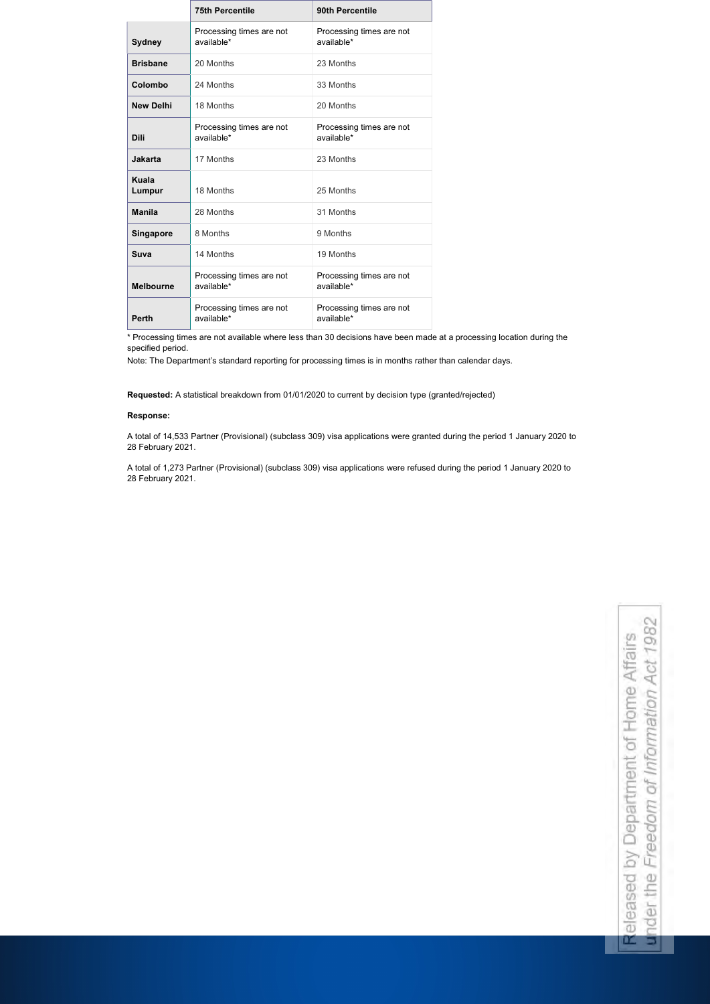|                        | <b>75th Percentile</b>                 | 90th Percentile                        |
|------------------------|----------------------------------------|----------------------------------------|
| <b>Sydney</b>          | Processing times are not<br>available* | Processing times are not<br>available* |
| <b>Brisbane</b>        | 20 Months                              | 23 Months                              |
| Colombo                | 24 Months                              | 33 Months                              |
| <b>New Delhi</b>       | 18 Months                              | 20 Months                              |
| <b>Dili</b>            | Processing times are not<br>available* | Processing times are not<br>available* |
| <b>Jakarta</b>         | 17 Months                              | 23 Months                              |
| <b>Kuala</b><br>Lumpur | 18 Months                              | 25 Months                              |
| <b>Manila</b>          | 28 Months                              | 31 Months                              |
| <b>Singapore</b>       | 8 Months                               | 9 Months                               |
| Suva                   | 14 Months                              | 19 Months                              |
| <b>Melbourne</b>       | Processing times are not<br>available* | Processing times are not<br>available* |
| <b>Perth</b>           | Processing times are not<br>available* | Processing times are not<br>available* |

under the Freedom of Information Act 1982 Released by Department of Home Affairs Released by Department under the Freedom of Inf

\* Processing times are not available where less than 30 decisions have been made at a processing location during the specified period.

Note: The Department's standard reporting for processing times is in months rather than calendar days.

Requested: A statistical breakdown from 01/01/2020 to current by decision type (granted/rejected)

### Response:

 $\blacksquare$ 

A total of 14,533 Partner (Provisional) (subclass 309) visa applications were granted during the period 1 January 2020 to 28 February 2021.

A total of 1,273 Partner (Provisional) (subclass 309) visa applications were refused during the period 1 January 2020 to 28 February 2021.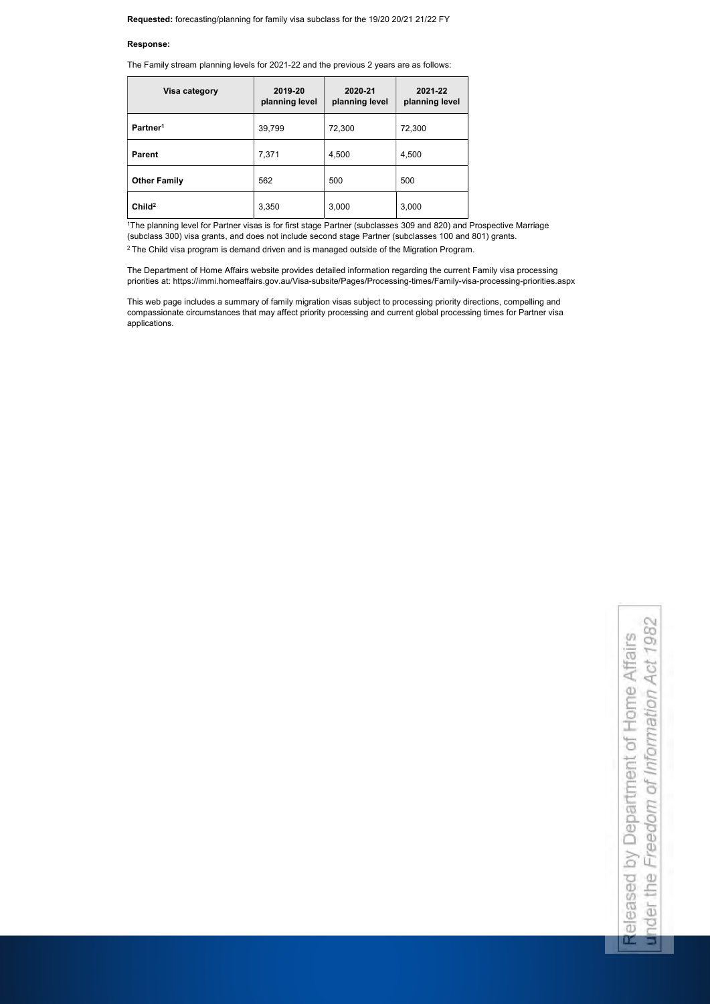### Response:

|  |  |  | The Family stream planning levels for 2021-22 and the previous 2 years are as follows: |
|--|--|--|----------------------------------------------------------------------------------------|
|  |  |  |                                                                                        |

| Visa category        | 2019-20<br>planning level | 2020-21<br>planning level | 2021-22<br>planning level |
|----------------------|---------------------------|---------------------------|---------------------------|
| Partner <sup>1</sup> | 39,799                    | 72,300                    | 72,300                    |
| <b>Parent</b>        | 7,371                     | 4,500                     | 4,500                     |
| <b>Other Family</b>  | 562                       | 500                       | 500                       |
| Child <sup>2</sup>   | 3,350                     | 3,000                     | 3,000                     |

<sup>1</sup>The planning level for Partner visas is for first stage Partner (subclasses 309 and 820) and Prospective Marriage (subclass 300) visa grants, and does not include second stage Partner (subclasses 100 and 801) grants.

<sup>2</sup> The Child visa program is demand driven and is managed outside of the Migration Program.

under the Freedom of Information Act 1982 Released by Department of Home Affairs Released by Department under the Freedom of Int

The Department of Home Affairs website provides detailed information regarding the current Family visa processing priorities at: https://immi.homeaffairs.gov.au/Visa-subsite/Pages/Processing-times/Family-visa-processing-priorities.aspx

This web page includes a summary of family migration visas subject to processing priority directions, compelling and compassionate circumstances that may affect priority processing and current global processing times for Partner visa applications.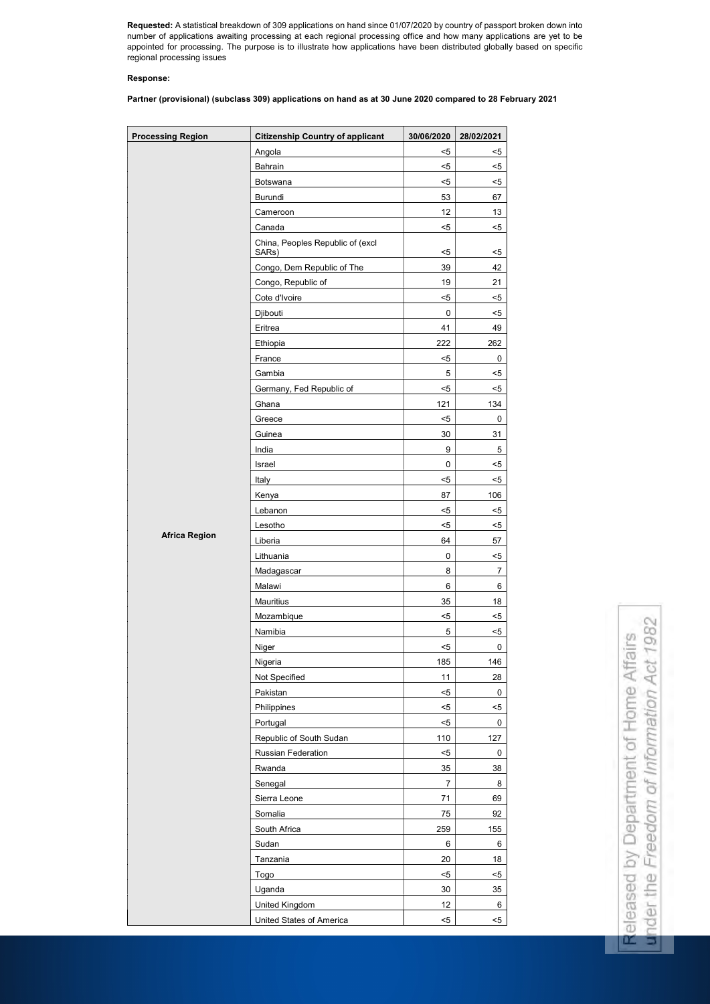Requested: A statistical breakdown of 309 applications on hand since 01/07/2020 by country of passport broken down into number of applications awaiting processing at each regional processing office and how many applications are yet to be appointed for processing. The purpose is to illustrate how applications have been distributed globally based on specific regional processing issues

### Response:

Partner (provisional) (subclass 309) applications on hand as at 30 June 2020 compared to 28 February 2021

under the Freedom of Information Act 1982 ormation Act 1982 of Home Affairs Released by Department of Home Affairs

Released by Department

under the Freedom of Info

| <b>Processing Region</b> | <b>Citizenship Country of applicant</b>   | 30/06/2020     | 28/02/2021     |
|--------------------------|-------------------------------------------|----------------|----------------|
|                          | Angola                                    | $5$            | $5$            |
|                          | Bahrain                                   | $5$            | $5$            |
|                          | Botswana                                  | $5$            | $5$            |
|                          | <b>Burundi</b>                            | 53             | 67             |
|                          | Cameroon                                  | 12             | 13             |
|                          | Canada                                    | $5$            | $5$            |
|                          | China, Peoples Republic of (excl<br>SARs) | $5$            | $5$            |
|                          | Congo, Dem Republic of The                | 39             | 42             |
|                          | Congo, Republic of                        | 19             | 21             |
|                          | Cote d'Ivoire                             | $5$            | $5$            |
|                          | Djibouti                                  | $\pmb{0}$      | $5$            |
|                          | Eritrea                                   | 41             | 49             |
|                          | Ethiopia                                  | 222            | 262            |
|                          | France                                    | $5$            | $\mathbf 0$    |
|                          | Gambia                                    | 5              | $5$            |
|                          | Germany, Fed Republic of                  | $5$            | $5$            |
|                          | Ghana                                     | 121            | 134            |
|                          | Greece                                    | $5$            | $\mathbf 0$    |
|                          | Guinea                                    | 30             | 31             |
|                          | India                                     | 9              | $\mathbf 5$    |
|                          | Israel                                    | $\pmb{0}$      | $5$            |
|                          | Italy                                     | $5$            | $5$            |
|                          | Kenya                                     | 87             | 106            |
|                          | Lebanon                                   | $5$            | $5$            |
|                          | Lesotho                                   | $5$            | $5$            |
| <b>Africa Region</b>     | Liberia                                   | 64             | 57             |
|                          | Lithuania                                 | $\pmb{0}$      | $5$            |
|                          | Madagascar                                | 8              | $\overline{7}$ |
|                          | Malawi                                    | 6              | 6              |
|                          | <b>Mauritius</b>                          | 35             | 18             |
|                          | Mozambique                                | $5$            | $5$            |
|                          | Namibia                                   | 5              | $5$            |
|                          | Niger                                     | $5$            | 0              |
|                          | Nigeria                                   | 185            | 146            |
|                          | Not Specified                             | 11             | 28             |
|                          | Pakistan                                  | $5$            | $\mathbf 0$    |
|                          | Philippines                               | $5$            | $5$            |
|                          | Portugal                                  | $5$            | 0              |
|                          | Republic of South Sudan                   | 110            | 127            |
|                          | Russian Federation                        | $5$            | $\mathbf 0$    |
|                          | Rwanda                                    | 35             | 38             |
|                          | Senegal                                   | $\overline{7}$ | 8              |
|                          | Sierra Leone                              | 71             | 69             |
|                          | Somalia                                   | 75             | 92             |
|                          | South Africa                              | 259            | 155            |
|                          | Sudan                                     | 6              | 6              |
|                          |                                           |                | 18             |
|                          |                                           |                |                |
|                          | Tanzania                                  | 20             |                |
|                          | Togo                                      | $5$            | $5$            |
|                          | Uganda<br><b>United Kingdom</b>           | 30<br>12       | 35<br>6        |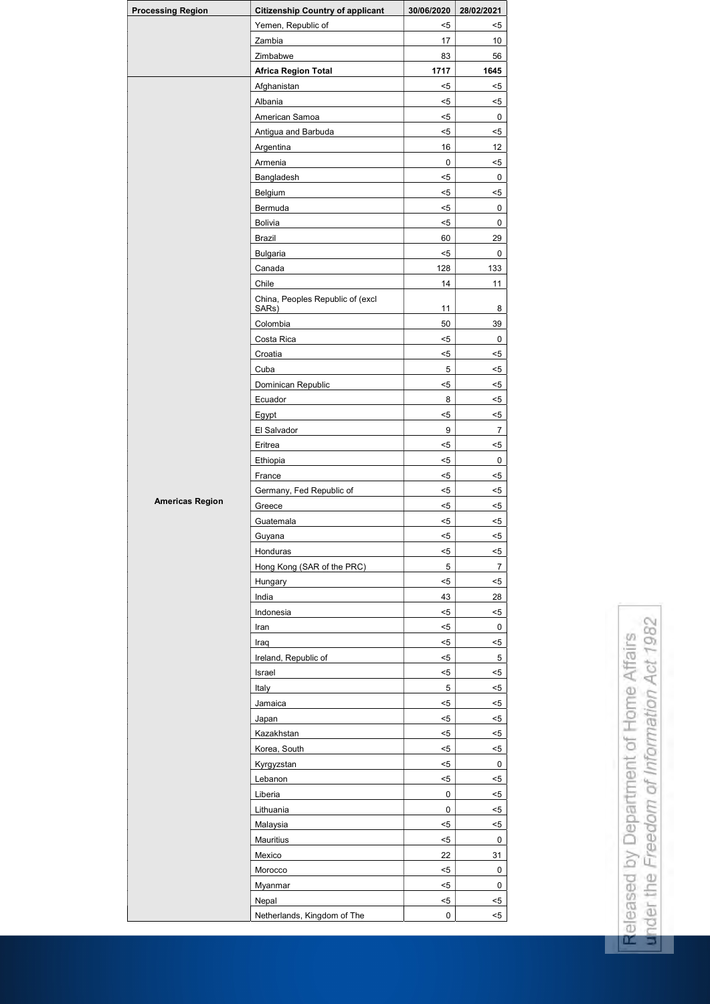| <b>Processing Region</b> | <b>Citizenship Country of applicant</b>   | 30/06/2020       | 28/02/2021     |
|--------------------------|-------------------------------------------|------------------|----------------|
|                          | Yemen, Republic of                        | $5$              | $5$            |
|                          | Zambia                                    | 17               | 10             |
|                          | Zimbabwe                                  | 83               | 56             |
|                          | <b>Africa Region Total</b>                | 1717             | 1645           |
|                          | Afghanistan                               | $5$              | $5$            |
|                          | Albania                                   | $5$              | $5$            |
|                          | American Samoa                            | $5$              | $\mathbf 0$    |
|                          | Antigua and Barbuda                       | $5$              | $5$            |
|                          | Argentina                                 | 16               | 12             |
|                          | Armenia                                   | $\boldsymbol{0}$ | $5$            |
|                          | Bangladesh                                | $5$              | $\mathbf 0$    |
|                          | Belgium                                   | $5$              | $5$            |
|                          | Bermuda                                   | $5$              | $\pmb{0}$      |
|                          | <b>Bolivia</b>                            | $5$              | 0              |
|                          | <b>Brazil</b>                             | 60               | 29             |
|                          | <b>Bulgaria</b>                           | $5$              | 0              |
|                          | Canada                                    | 128              | 133            |
|                          | Chile                                     | 14               | 11             |
|                          | China, Peoples Republic of (excl<br>SARs) | 11               | 8              |
|                          | Colombia                                  | 50               | 39             |
|                          | Costa Rica                                | $5$              | 0              |
|                          | Croatia                                   | $5$              | $5$            |
|                          | Cuba                                      | 5                | $5$            |
|                          | Dominican Republic                        | $5$              | $5$            |
|                          | Ecuador                                   | 8                | $5$            |
|                          | Egypt                                     | $5$              | $5$            |
|                          | El Salvador                               | $\boldsymbol{9}$ | $\overline{7}$ |
|                          | Eritrea                                   | $5$              | $5$            |
|                          | Ethiopia                                  | $5$              | 0              |
|                          | France                                    | $5$              | $5$            |
|                          | Germany, Fed Republic of                  | $5$              | $5$            |
| <b>Americas Region</b>   | Greece                                    | $5$              | $5$            |
|                          | Guatemala                                 | $5$              | $5$            |
|                          | Guyana                                    | $5$              | $5$            |
|                          | Honduras                                  | $5$              | $5$            |
|                          | Hong Kong (SAR of the PRC)                | $\sqrt{5}$       | $\overline{7}$ |
|                          | Hungary                                   | $5$              | $5$            |
|                          | India                                     | 43               | 28             |
|                          | Indonesia                                 | $5$              | $5$            |
|                          | Iran                                      | $5$              | 0              |
|                          | Iraq                                      | $5$              | $5$            |
|                          | Ireland, Republic of                      | $5$              | 5              |
|                          | Israel                                    | $5$              | $5$            |
|                          | Italy                                     | $\sqrt{5}$       | $5$            |
|                          | Jamaica                                   | $5$              | $5$            |
|                          | Japan                                     | $5$              | $5$            |
|                          | Kazakhstan                                | $5$              | $5$            |
|                          | Korea, South                              | $5$              | $5$            |
|                          | Kyrgyzstan                                | $5$              | $\pmb{0}$      |
|                          | Lebanon                                   | $5$              | $5$            |
|                          | Liberia                                   | $\pmb{0}$        | $5$            |
|                          | Lithuania                                 | $\pmb{0}$        | $5$            |
|                          | Malaysia                                  | $5$              | $5$            |
|                          | Mauritius                                 | $5$              | 0              |
|                          | Mexico                                    | 22               | 31             |
|                          | Morocco                                   | $5$              | $\pmb{0}$      |
|                          | Myanmar                                   | $5$              | 0              |
|                          | Nepal                                     | $5$              | $5$            |
|                          | Netherlands, Kingdom of The               | $\pmb{0}$        | $5$            |

under the Freedom of Information Act 1982 Released by Department of Home Affairs<br>under the Freedom of Information Act 1982 Released by Department of Home Affairs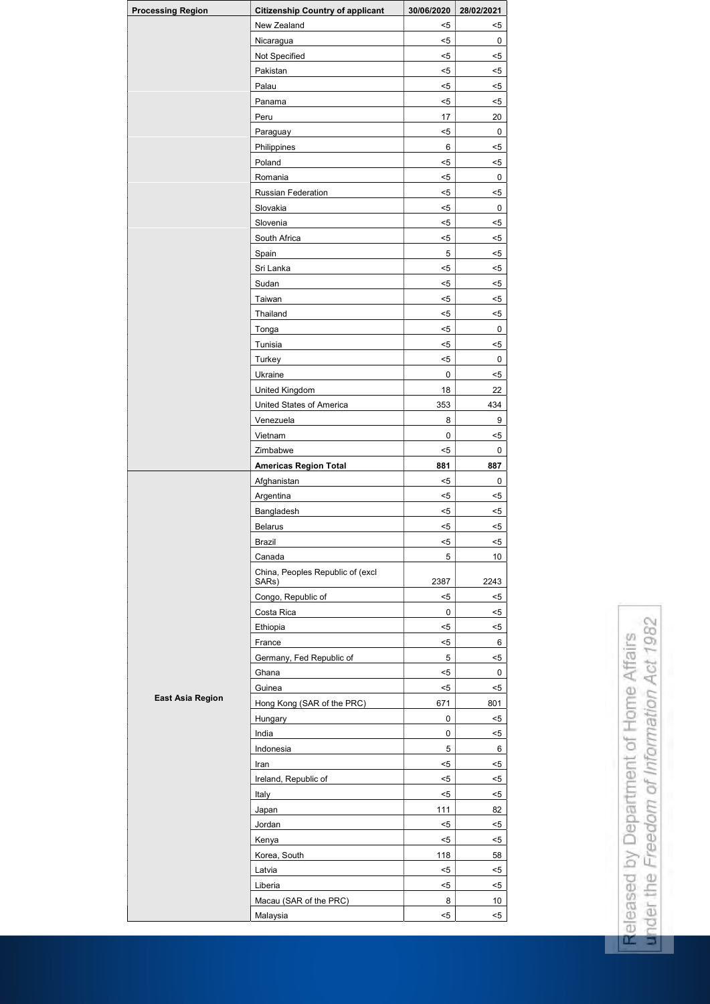| <b>Processing Region</b> | <b>Citizenship Country of applicant</b>   | 30/06/2020 | 28/02/2021  |
|--------------------------|-------------------------------------------|------------|-------------|
|                          | New Zealand                               | $5$        | $5$         |
|                          | Nicaragua                                 | $5$        | 0           |
|                          | Not Specified                             | $5$        | $5$         |
|                          | Pakistan                                  | $5$        | $5$         |
|                          | Palau                                     | $5$        | $5$         |
|                          | Panama                                    | $5$        | $5$         |
|                          | Peru                                      | 17         | 20          |
|                          | Paraguay                                  | $5$        | $\mathbf 0$ |
|                          | Philippines                               | 6          | $5$         |
|                          | Poland                                    | $5$        | $5$         |
|                          | Romania                                   | $5$        | 0           |
|                          | <b>Russian Federation</b>                 | $5$        | $5$         |
|                          | Slovakia                                  | $5$        | $\mathbf 0$ |
|                          | Slovenia                                  | $5$        | $5$         |
|                          | South Africa                              | $5$        | $5$         |
|                          | Spain                                     | 5          | $5$         |
|                          | Sri Lanka                                 | $5$        | $5$         |
|                          | Sudan                                     | $5$        | $5$         |
|                          | Taiwan                                    | $5$        | $5$         |
|                          | Thailand                                  | $5$        | $5$         |
|                          |                                           | $5$        | $\mathbf 0$ |
|                          | Tonga<br>Tunisia                          | $5$        |             |
|                          |                                           |            | $5$         |
|                          | Turkey                                    | $5$        | 0           |
|                          | Ukraine                                   | 0          | $5$         |
|                          | <b>United Kingdom</b>                     | 18         | 22          |
|                          | <b>United States of America</b>           | 353        | 434         |
|                          | Venezuela                                 | 8          | 9           |
|                          | Vietnam                                   | 0          | $5$         |
|                          | Zimbabwe                                  | $5$        | 0           |
|                          | <b>Americas Region Total</b>              | 881        | 887         |
|                          | Afghanistan                               | $5$        | 0           |
|                          | Argentina                                 | $5$        | $5$         |
|                          | Bangladesh                                | $5$        | $5$         |
|                          | <b>Belarus</b>                            | $5$        | $5$         |
|                          | <b>Brazil</b>                             | $5$        | $5$         |
|                          | Canada                                    | 5          | 10          |
|                          | China, Peoples Republic of (excl<br>SARs) | 2387       | 2243        |
|                          | Congo, Republic of                        | $5$        | $5$         |
|                          | Costa Rica                                | $\pmb{0}$  | $5$         |
|                          | Ethiopia                                  | $5$        | $5$         |
|                          |                                           |            |             |
|                          | France<br>Germany, Fed Republic of        | $5$<br>5   | 6<br>$5$    |
|                          | Ghana                                     | $5$        |             |
|                          | Guinea                                    |            | 0           |
| <b>East Asia Region</b>  |                                           | $5$        | $5$         |
|                          | Hong Kong (SAR of the PRC)                | 671        | 801         |
|                          | Hungary                                   | $\pmb{0}$  | $5$         |
|                          | India                                     | 0          | $5$         |
|                          | Indonesia                                 | 5          | 6           |
|                          | <b>Iran</b>                               | $5$        | $5$         |
|                          | Ireland, Republic of                      | $5$        | $5$         |
|                          | Italy                                     | $5$        | $5$         |
|                          | Japan                                     | 111        | 82          |
|                          | Jordan                                    | $5$        | $5$         |
|                          | Kenya                                     | $5$        | $5$         |
|                          | Korea, South                              | 118        | 58          |
|                          | Latvia                                    | $5$        | $5$         |
|                          | Liberia                                   | $5$        | $5$         |
|                          | Macau (SAR of the PRC)                    | 8          | 10          |
|                          | Malaysia                                  | $5$        | $5$         |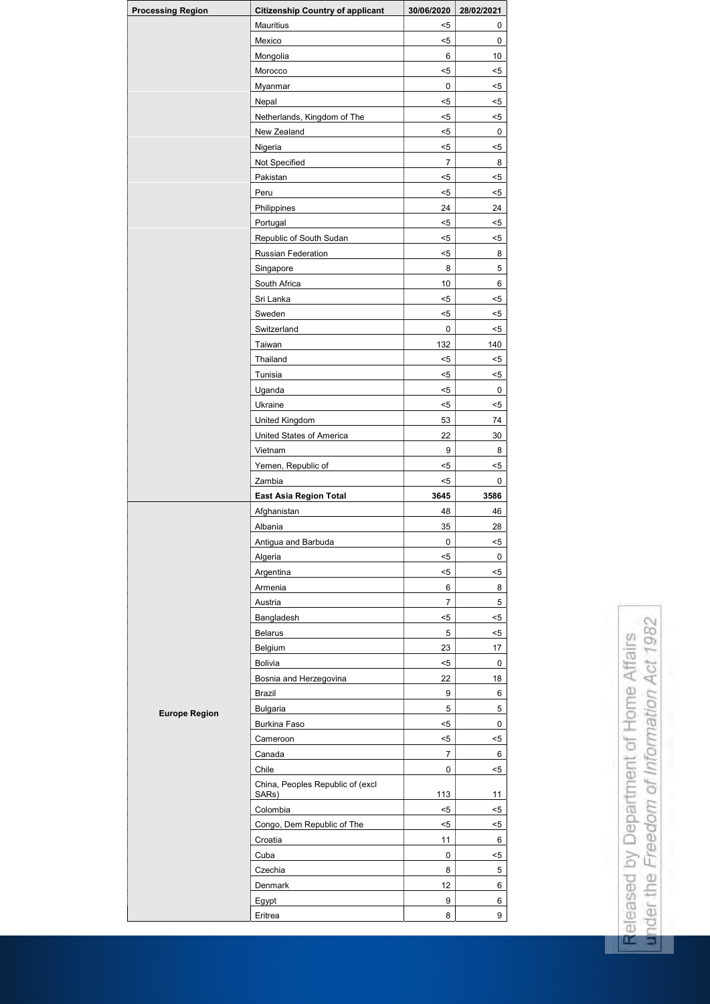| <b>Processing Region</b> | <b>Citizenship Country of applicant</b> | 30/06/2020            | 28/02/2021  |
|--------------------------|-----------------------------------------|-----------------------|-------------|
|                          | Mauritius                               | $5$                   | 0           |
|                          | Mexico                                  | $5$                   | 0           |
|                          | Mongolia                                | $\,6\,$               | 10          |
|                          | Morocco                                 | $5$                   | $5$         |
|                          | <b>Myanmar</b>                          | $\pmb{0}$             | $5$         |
|                          | Nepal                                   | $5$                   | $5$         |
|                          | Netherlands, Kingdom of The             | $5$                   | $5$         |
|                          | New Zealand                             | $5$                   | $\mathbf 0$ |
|                          | Nigeria                                 | $5$                   | $5$         |
|                          | Not Specified                           | $\overline{7}$        | 8           |
|                          | Pakistan                                | $5$                   | $5$         |
|                          | Peru                                    | $5$                   | $5$         |
|                          | Philippines                             | 24                    | 24          |
|                          | Portugal                                | $5$                   | $5$         |
|                          | Republic of South Sudan                 | $5$                   | $5$         |
|                          | Russian Federation                      | $5$                   | 8           |
|                          | Singapore                               | 8                     | 5           |
|                          | South Africa                            | 10                    | 6           |
|                          | Sri Lanka                               | $5$                   | $5$         |
|                          | Sweden                                  | $5$                   | $5$         |
|                          | Switzerland                             | $\pmb{0}$             | $5$         |
|                          | Taiwan                                  | 132                   | 140         |
|                          | Thailand                                | $5$                   | $5$         |
|                          | Tunisia                                 | $5$                   | $5$         |
|                          | Uganda                                  | $5$                   | $\pmb{0}$   |
|                          | Ukraine                                 | $5$                   | $5$         |
|                          | <b>United Kingdom</b>                   | 53                    | 74          |
|                          | United States of America                | 22                    | 30          |
|                          | Vietnam                                 | 9                     | 8           |
|                          | Yemen, Republic of                      | $5$                   | $5$         |
|                          | Zambia                                  | $5$                   | 0           |
|                          | <b>East Asia Region Total</b>           | 3645                  | 3586        |
|                          |                                         |                       |             |
|                          |                                         | 48                    | 46          |
|                          | Afghanistan<br>Albania                  | 35                    | 28          |
|                          |                                         | $\mathbf 0$           | $5$         |
|                          | Antigua and Barbuda                     | $5$                   | $\mathbf 0$ |
|                          | Algeria                                 | $5$                   |             |
|                          | Argentina                               | $\,6\,$               | $5$<br>8    |
|                          | Armenia                                 | $\overline{7}$        | 5           |
|                          | Austria                                 | $5$                   |             |
|                          | Bangladesh                              | 5                     | $5$         |
|                          | <b>Belarus</b>                          |                       | $5$<br>17   |
|                          | Belgium<br>Bolivia                      | 23<br>$5$             | $\mathbf 0$ |
|                          |                                         | 22                    | 18          |
|                          | Bosnia and Herzegovina<br><b>Brazil</b> | 9                     | 6           |
|                          |                                         | 5                     | 5           |
| <b>Europe Region</b>     | <b>Bulgaria</b><br><b>Burkina Faso</b>  | $5$                   | 0           |
|                          | Cameroon                                | $5$                   | $5$         |
|                          | Canada                                  | $\overline{7}$        | 6           |
|                          | Chile                                   | 0                     | $5$         |
|                          | China, Peoples Republic of (excl        |                       |             |
|                          | SARs)                                   | 113                   | 11          |
|                          | Colombia                                | $5$                   | $5$         |
|                          | Congo, Dem Republic of The              | $5$                   | $5$         |
|                          | Croatia                                 | 11                    | 6           |
|                          | Cuba                                    | $\mathbf 0$           | $5$         |
|                          | Czechia                                 | 8                     | 5           |
|                          | Denmark                                 | 12                    | 6           |
|                          | Egypt<br>Eritrea                        | $\boldsymbol{9}$<br>8 | 6<br>9      |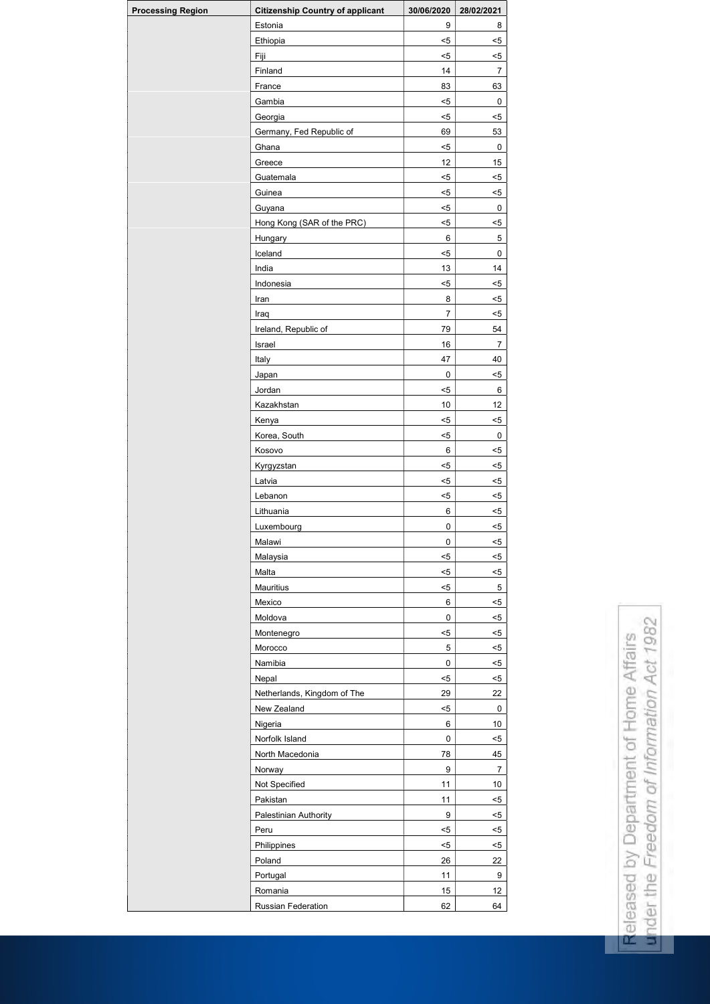| <b>Processing Region</b> | <b>Citizenship Country of applicant</b> | 30/06/2020       | 28/02/2021       |
|--------------------------|-----------------------------------------|------------------|------------------|
|                          | Estonia                                 | 9                | 8                |
|                          | Ethiopia                                | $5$              | $5$              |
|                          | Fiji                                    | $5$              | $5$              |
|                          | Finland                                 | 14               | $\overline{7}$   |
|                          | France                                  | 83               | 63               |
|                          | Gambia                                  | $5$              | $\mathbf 0$      |
|                          | Georgia                                 | $5$              | $5$              |
|                          | Germany, Fed Republic of                | 69               | 53               |
|                          | Ghana                                   | $5$              | $\pmb{0}$        |
|                          | Greece                                  | 12               | 15               |
|                          | Guatemala                               | $5$              | $5$              |
|                          | Guinea                                  | $5$              | $5$              |
|                          | Guyana                                  | $5$              | 0                |
|                          | Hong Kong (SAR of the PRC)              | $5$              | $5$              |
|                          | Hungary                                 | $\,6\,$          | $\sqrt{5}$       |
|                          | Iceland                                 | $5$              | 0                |
|                          | India                                   | 13               | 14               |
|                          | Indonesia                               | $5$              | $5$              |
|                          | Iran                                    | 8                | $5$              |
|                          | Iraq                                    | $\overline{7}$   | $5$              |
|                          | Ireland, Republic of                    | 79               | 54               |
|                          | Israel                                  | 16               | $\overline{7}$   |
|                          | Italy                                   | 47               | 40               |
|                          | Japan                                   | $\pmb{0}$        | $5$              |
|                          | Jordan                                  | $5$              | 6                |
|                          | Kazakhstan                              | 10               | 12               |
|                          | Kenya                                   | $5$              | $5$              |
|                          | Korea, South                            | $5$              | $\pmb{0}$        |
|                          | Kosovo                                  | $6\phantom{1}$   | $5$              |
|                          | Kyrgyzstan                              | $5$              | $5$              |
|                          | Latvia                                  | $5$              | $5$              |
|                          | Lebanon                                 | $5$              | $5$              |
|                          | Lithuania                               | $6\phantom{1}$   | $5$              |
|                          | Luxembourg                              | $\pmb{0}$        | $5$              |
|                          | Malawi                                  | $\mathbf 0$      | $5$              |
|                          | Malaysia                                | $5$              | $5$              |
|                          | Malta                                   | $5$              | $5$              |
|                          | Mauritius                               | $5$              | 5                |
|                          | Mexico                                  | $\,6\,$          | $5$              |
|                          | Moldova                                 | $\pmb{0}$        | $5$              |
|                          | Montenegro                              | $5$              | $5$              |
|                          | Morocco                                 | 5                | $5$              |
|                          | Namibia                                 | $\mathbf 0$      | $5$              |
|                          | Nepal                                   | $5$              | $5$              |
|                          | Netherlands, Kingdom of The             | 29               | 22               |
|                          | New Zealand                             | $5$              | $\pmb{0}$        |
|                          | Nigeria                                 | $\,6\,$          | 10               |
|                          | Norfolk Island                          | $\pmb{0}$        | $5$              |
|                          | North Macedonia                         | 78               | 45               |
|                          | Norway                                  | 9                | $\overline{7}$   |
|                          | Not Specified                           | 11               | 10               |
|                          | Pakistan                                | 11               | $5$              |
|                          | Palestinian Authority                   | $\boldsymbol{9}$ | $5$              |
|                          | Peru                                    | $5$              | $5$              |
|                          | Philippines                             | $5$              | $5$              |
|                          | Poland                                  | 26               | 22               |
|                          |                                         | 11               | $\boldsymbol{9}$ |
|                          | Portugal<br>Romania                     | 15               | 12               |
|                          |                                         |                  | 64               |
|                          | Russian Federation                      | 62               |                  |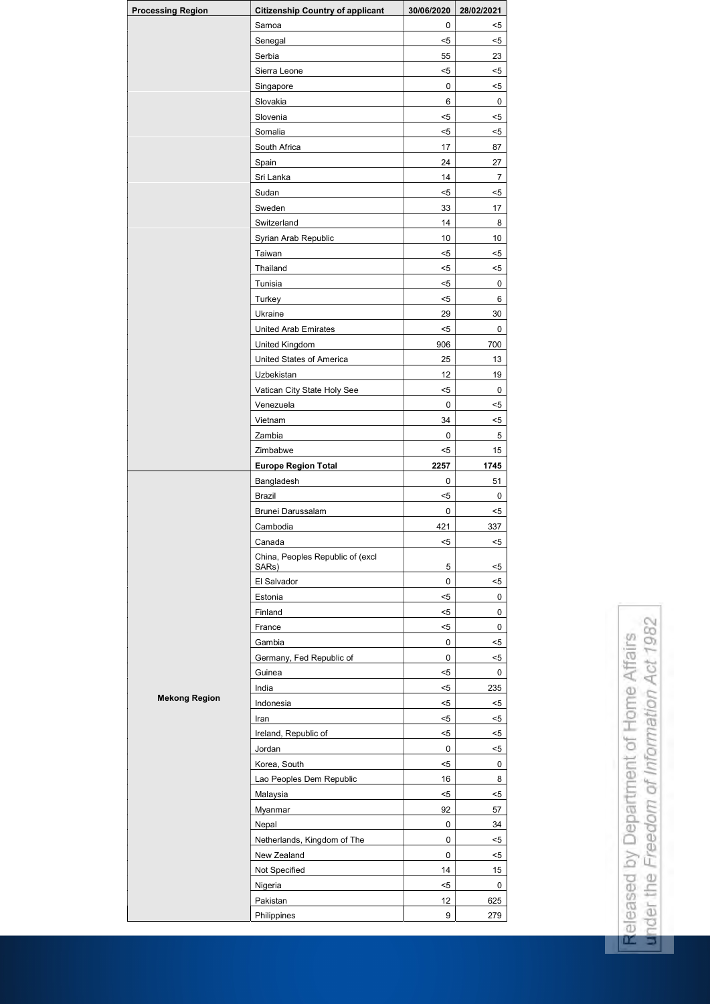| <b>Processing Region</b> | <b>Citizenship Country of applicant</b>   | 30/06/2020             | 28/02/2021     |
|--------------------------|-------------------------------------------|------------------------|----------------|
|                          | Samoa                                     | 0                      | $5$            |
|                          | Senegal                                   | $5$                    | $5$            |
|                          | Serbia                                    | 55                     | 23             |
|                          | Sierra Leone                              | $5$                    | $5$            |
|                          | Singapore                                 | 0                      | $5$            |
|                          | Slovakia                                  | $\,6$                  | 0              |
|                          | Slovenia                                  | $5$                    | $5$            |
|                          | Somalia                                   | $5$                    | $5$            |
|                          | South Africa                              | 17                     | 87             |
|                          | Spain                                     | 24                     | 27             |
|                          | Sri Lanka                                 | 14                     | $\overline{7}$ |
|                          | Sudan                                     | $5$                    | $5$            |
|                          | Sweden                                    | 33                     | 17             |
|                          | Switzerland                               | 14                     | 8              |
|                          |                                           | $10$                   | 10             |
|                          | Syrian Arab Republic                      |                        |                |
|                          | Taiwan                                    | $5$                    | $5$            |
|                          | Thailand                                  | $5$                    | $5$            |
|                          | Tunisia                                   | $5$                    | 0              |
|                          | Turkey                                    | $5$                    | 6              |
|                          | Ukraine                                   | 29                     | 30             |
|                          | <b>United Arab Emirates</b>               | $5$                    | $\mathbf 0$    |
|                          | <b>United Kingdom</b>                     | 906                    | 700            |
|                          | <b>United States of America</b>           | 25                     | 13             |
|                          | Uzbekistan                                | 12                     | 19             |
|                          | Vatican City State Holy See               | $5$                    | $\pmb{0}$      |
|                          | Venezuela                                 | $\pmb{0}$              | $5$            |
|                          | Vietnam                                   | 34                     | $5$            |
|                          | Zambia                                    | $\pmb{0}$              | 5              |
|                          | Zimbabwe                                  | $5$                    | 15             |
|                          | <b>Europe Region Total</b>                | 2257                   | 1745           |
|                          | Bangladesh                                | $\pmb{0}$              | 51             |
|                          | <b>Brazil</b>                             | $5$                    | 0              |
|                          | Brunei Darussalam                         | $\pmb{0}$              | <5             |
|                          | Cambodia                                  | 421                    | 337            |
|                          |                                           |                        |                |
|                          | Canada                                    | $5$                    | $5$            |
|                          |                                           |                        |                |
|                          | China, Peoples Republic of (excl<br>SARs) | 5                      | $5$            |
|                          | El Salvador                               | $\pmb{0}$              | $5$            |
|                          | Estonia                                   | $5$                    | 0              |
|                          | Finland                                   | $5$                    | 0              |
|                          | France                                    | $5$                    | 0              |
|                          | Gambia                                    | 0                      | $5$            |
|                          | Germany, Fed Republic of                  | 0                      | $5$            |
|                          | Guinea                                    | $5$                    | 0              |
|                          | India                                     | $5$                    | 235            |
| <b>Mekong Region</b>     | Indonesia                                 | $5$                    | <5             |
|                          | Iran                                      | $5$                    | $5$            |
|                          |                                           | $5$                    | <5             |
|                          | Ireland, Republic of                      |                        |                |
|                          | Jordan                                    | 0                      | $5$            |
|                          | Korea, South                              | $5$                    | 0              |
|                          | Lao Peoples Dem Republic                  | 16                     | 8              |
|                          | Malaysia                                  | $5$                    | $5$            |
|                          | Myanmar                                   | 92                     | 57             |
|                          | Nepal                                     | $\pmb{0}$              | 34             |
|                          | Netherlands, Kingdom of The               | $\pmb{0}$              | $5$            |
|                          | New Zealand                               | $\pmb{0}$              | $5$            |
|                          | Not Specified                             | 14                     | 15             |
|                          | Nigeria                                   | $5$                    | 0              |
|                          | Pakistan<br>Philippines                   | 12<br>$\boldsymbol{9}$ | 625<br>279     |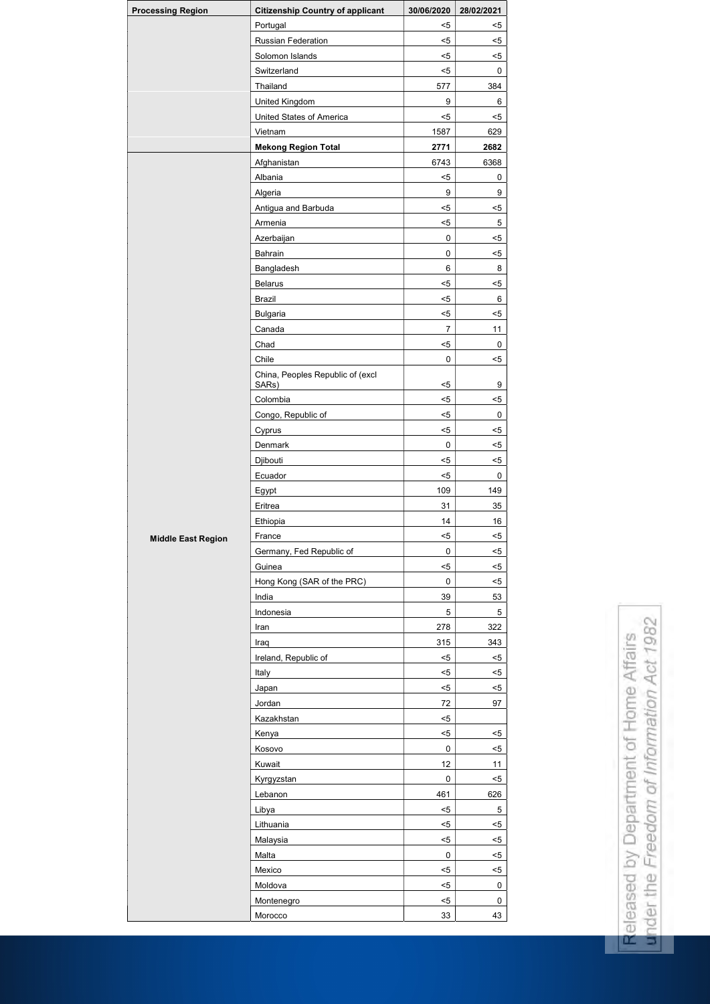| <b>Processing Region</b>  | <b>Citizenship Country of applicant</b>   | 30/06/2020     | 28/02/2021 |
|---------------------------|-------------------------------------------|----------------|------------|
|                           | Portugal                                  | $5$            | $5$        |
|                           | Russian Federation                        | $5$            | $5$        |
|                           | Solomon Islands                           | $5$            | $5$        |
|                           | Switzerland                               | $5$            | 0          |
|                           | Thailand                                  | 577            | 384        |
|                           | United Kingdom                            | 9              | 6          |
|                           | United States of America                  | $5$            | $5$        |
|                           | Vietnam                                   | 1587           | 629        |
|                           | <b>Mekong Region Total</b>                | 2771           | 2682       |
|                           | Afghanistan                               | 6743           | 6368       |
|                           | Albania                                   | $5$            | 0          |
|                           | Algeria                                   | 9              | 9          |
|                           | Antigua and Barbuda                       | $5$            | $5$        |
|                           | Armenia                                   | $5$            | 5          |
|                           | Azerbaijan                                | 0              | $5$        |
|                           | Bahrain                                   | 0              | $5$        |
|                           | Bangladesh                                | 6              | 8          |
|                           | <b>Belarus</b>                            | $5$            | $5$        |
|                           | <b>Brazil</b>                             | $5$            | 6          |
|                           | <b>Bulgaria</b>                           | $5$            | $5$        |
|                           | Canada                                    | $\overline{7}$ | 11         |
|                           |                                           |                |            |
|                           | Chad                                      | $5$            | 0          |
|                           | Chile                                     | 0              | $5$        |
|                           | China, Peoples Republic of (excl<br>SARs) | $5$            | 9          |
|                           | Colombia                                  | $5$            | $5$        |
|                           | Congo, Republic of                        | $5$            | $\pmb{0}$  |
|                           | Cyprus                                    | $5$            | $5$        |
|                           | Denmark                                   | 0              | $5$        |
|                           | Djibouti                                  | $5$            | $5$        |
|                           | Ecuador                                   | $5$            | 0          |
|                           | Egypt                                     | 109            | 149        |
|                           | Eritrea                                   | 31             | 35         |
|                           | Ethiopia                                  | 14             | 16         |
| <b>Middle East Region</b> | France                                    | $5$            | $5$        |
|                           | Germany, Fed Republic of                  | 0              | $5$        |
|                           | Guinea                                    | $5$            | $5$        |
|                           | Hong Kong (SAR of the PRC)                | $\pmb{0}$      | $5$        |
|                           | India                                     | 39             | 53         |
|                           | Indonesia                                 | 5              | 5          |
|                           | Iran                                      | 278            | 322        |
|                           | Iraq                                      | 315            | 343        |
|                           | Ireland, Republic of                      | $5$            | $5$        |
|                           | Italy                                     | $5$            | $5$        |
|                           | Japan                                     | $5$            | $5$        |
|                           | Jordan                                    | 72             | 97         |
|                           | Kazakhstan                                | $5$            |            |
|                           |                                           | $5$            | $5$        |
|                           | Kenya                                     | 0              |            |
|                           | Kosovo                                    | 12             | $5$<br>11  |
|                           | Kuwait                                    | 0              | $5$        |
|                           | Kyrgyzstan                                |                |            |
|                           | Lebanon                                   | 461            | 626        |
|                           | Libya                                     | $5$            | 5          |
|                           | Lithuania                                 | $5$            | $5$        |
|                           | Malaysia                                  | $5$            | $5$        |
|                           | Malta                                     | $\pmb{0}$      | $5$        |
|                           | Mexico                                    | $5$            | $5$        |
|                           | Moldova                                   | $5$            | $\pmb{0}$  |
|                           | Montenegro                                | $5$            | $\pmb{0}$  |
|                           | Morocco                                   | 33             | 43         |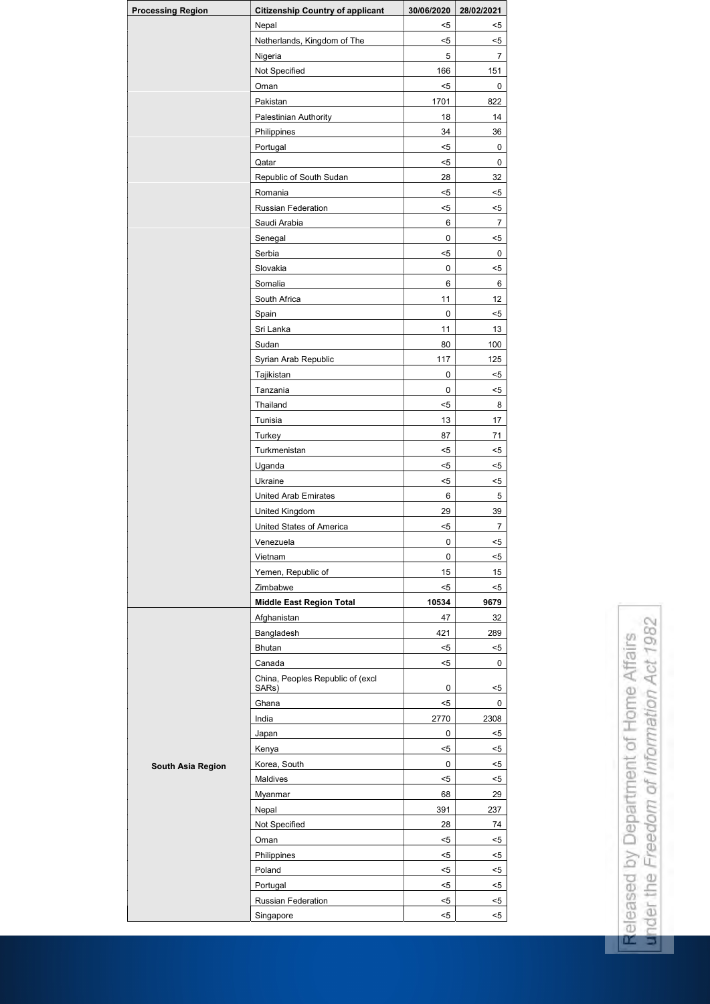| <b>Processing Region</b> | <b>Citizenship Country of applicant</b> | 30/06/2020 | 28/02/2021     |
|--------------------------|-----------------------------------------|------------|----------------|
|                          | Nepal                                   | $5$        | $5$            |
|                          | Netherlands, Kingdom of The             | $5$        | $5$            |
|                          | Nigeria                                 | 5          | 7              |
|                          | Not Specified                           | 166        | 151            |
|                          | Oman                                    | $5$        | 0              |
|                          | Pakistan                                | 1701       | 822            |
|                          | Palestinian Authority                   | 18         | 14             |
|                          | Philippines                             | 34         | 36             |
|                          | Portugal                                | $< 5$      | $\mathbf 0$    |
|                          | Qatar                                   | $5$        | 0              |
|                          | Republic of South Sudan                 | 28         | 32             |
|                          | Romania                                 | $5$        | $5$            |
|                          | Russian Federation                      | $5$        | $5$            |
|                          | Saudi Arabia                            | 6          | $\overline{7}$ |
|                          | Senegal                                 | 0          | $5$            |
|                          | Serbia                                  | $5$        | $\mathbf 0$    |
|                          |                                         |            |                |
|                          | Slovakia                                | 0          | $5$            |
|                          | Somalia                                 | 6          | 6              |
|                          | South Africa                            | 11         | 12             |
|                          | Spain                                   | $\pmb{0}$  | $5$            |
|                          | Sri Lanka                               | 11         | 13             |
|                          | Sudan                                   | 80         | 100            |
|                          | Syrian Arab Republic                    | 117        | 125            |
|                          | Tajikistan                              | 0          | $5$            |
|                          | Tanzania                                | 0          | $5$            |
|                          | Thailand                                | $5$        | 8              |
|                          | Tunisia                                 | 13         | 17             |
|                          | Turkey                                  | 87         | 71             |
|                          | Turkmenistan                            | $5$        | $5$            |
|                          | Uganda                                  | $5$        | $5$            |
|                          | Ukraine                                 | $5$        | $5$            |
|                          | <b>United Arab Emirates</b>             | 6          | 5              |
|                          | <b>United Kingdom</b>                   | 29         | 39             |
|                          | United States of America                | $5$        | $\overline{7}$ |
|                          | Venezuela                               | 0          | $5$            |
|                          | Vietnam                                 | 0          | $5$            |
|                          | Yemen, Republic of                      | 15         | 15             |
|                          | Zimbabwe                                | $5$        | $5$            |
|                          | <b>Middle East Region Total</b>         | 10534      | 9679           |
|                          | Afghanistan                             | 47         | 32             |
|                          | Bangladesh                              | 421        | 289            |
|                          | <b>Bhutan</b>                           | $5$        | $5$            |
|                          | Canada                                  | $5$        | 0              |
|                          | China, Peoples Republic of (excl        |            |                |
|                          | SARs)                                   | 0          | $5$            |
|                          | Ghana                                   | $5$        | 0              |
|                          | India                                   | 2770       | 2308           |
|                          | Japan                                   | 0          | $5$            |
|                          | Kenya                                   | $5$        | $5$            |
|                          | Korea, South                            | 0          | $5$            |
| <b>South Asia Region</b> | Maldives                                | $5$        | $5$            |
|                          |                                         |            |                |
|                          | Myanmar                                 | 68         | 29             |
|                          | Nepal                                   | 391        | 237            |
|                          | Not Specified                           | 28         | 74             |
|                          | Oman                                    | $5$        | $5$            |
|                          | Philippines                             | $5$        | $5$            |
|                          | Poland                                  | $5$        | $5$            |
|                          | Portugal                                | $5$        | $5$            |
|                          | Russian Federation                      | $5$        | $5$            |
|                          | Singapore                               | $5$        | $5$            |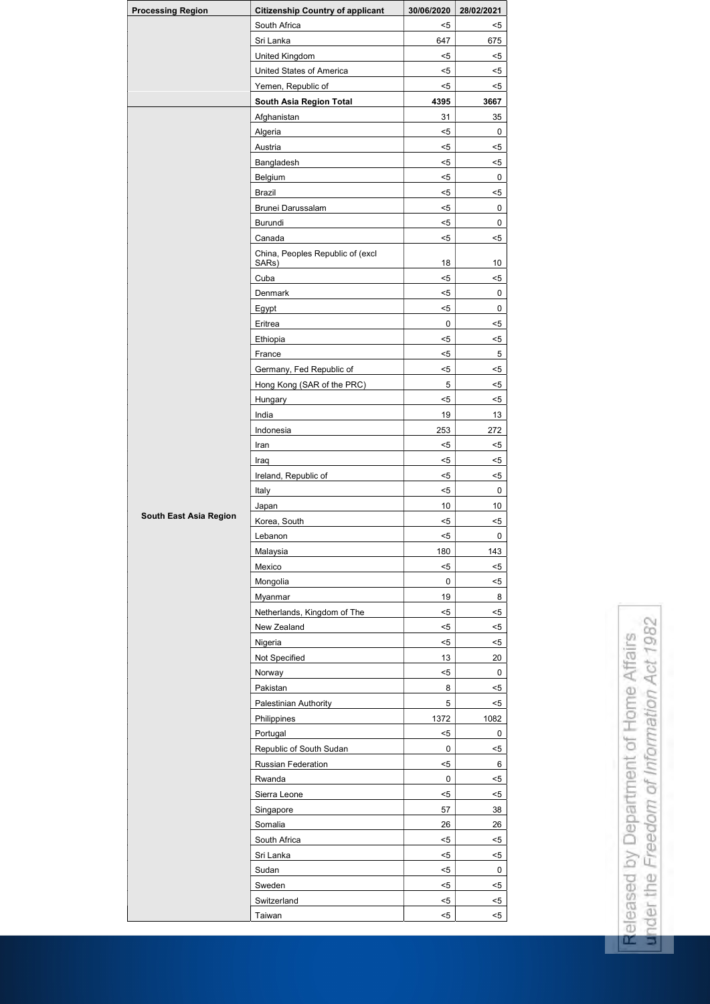| <b>Processing Region</b> | <b>Citizenship Country of applicant</b>   | 30/06/2020     | 28/02/2021 |
|--------------------------|-------------------------------------------|----------------|------------|
|                          | South Africa                              | $5$            | $5$        |
|                          | Sri Lanka                                 | 647            | 675        |
|                          | United Kingdom                            | $5$            | $5$        |
|                          | United States of America                  | $5$            | $5$        |
|                          | Yemen, Republic of                        | $5$            | $5$        |
|                          | South Asia Region Total                   | 4395           | 3667       |
|                          | Afghanistan                               | 31             | 35         |
|                          | Algeria                                   | $5$            | 0          |
|                          | Austria                                   | $5$            | $5$        |
|                          | Bangladesh                                | $5$            | $5$        |
|                          | Belgium                                   | $5$            | 0          |
|                          | <b>Brazil</b>                             | $5$            | $5$        |
|                          | Brunei Darussalam                         | $5$            | 0          |
|                          | Burundi                                   | $5$            | 0          |
|                          | Canada                                    | $5$            | $5$        |
|                          | China, Peoples Republic of (excl<br>SARs) | 18             | 10         |
|                          | Cuba                                      | $5$            | $5$        |
|                          | Denmark                                   | $5$            | 0          |
|                          | Egypt                                     | $5$            | 0          |
|                          | Eritrea                                   | $\mathbf 0$    | $5$        |
|                          | Ethiopia                                  | $5$            | $5$        |
|                          | France                                    | $5$            | 5          |
|                          | Germany, Fed Republic of                  | $5$            | $5$        |
|                          | Hong Kong (SAR of the PRC)                | $\overline{5}$ | $< 5$      |
|                          | Hungary                                   | $5$            | $5$        |
|                          | India                                     | 19             | 13         |
|                          | Indonesia                                 | 253            | 272        |
|                          | Iran                                      | $5$            | $5$        |
|                          | Iraq                                      | $5$            | $5$        |
|                          | Ireland, Republic of                      | $< 5$          | $5$        |
|                          | Italy                                     | $< 5$          | 0          |
|                          | Japan                                     | 10             | 10         |
| South East Asia Region   | Korea, South                              | $< 5$          | $5$        |
|                          | Lebanon                                   | $< 5$          | 0          |
|                          | Malaysia                                  | 180            | 143        |
|                          | Mexico                                    | $5$            | $5$        |
|                          | Mongolia                                  | $\pmb{0}$      | $5$        |
|                          | Myanmar                                   | 19             | 8          |
|                          | Netherlands, Kingdom of The               | $< 5$          | $5$        |
|                          | New Zealand                               | $5$            | $5$        |
|                          | Nigeria                                   | $< 5$          | $5$        |
|                          | Not Specified                             | 13             | 20         |
|                          | Norway                                    | $< 5$          | $\pmb{0}$  |
|                          | Pakistan                                  | $\bf 8$        | $5$        |
|                          | Palestinian Authority                     | $\mathbf 5$    | $5$        |
|                          | Philippines                               | 1372           | 1082       |
|                          | Portugal                                  | $5$            | $\pmb{0}$  |
|                          | Republic of South Sudan                   | $\pmb{0}$      | $5$        |
|                          | Russian Federation                        | $5$            | $\,6$      |
|                          | Rwanda                                    | $\pmb{0}$      | $5$        |
|                          | Sierra Leone                              | $5$            | $5$        |
|                          | Singapore                                 | 57             | 38         |
|                          | Somalia                                   | 26             | 26         |
|                          | South Africa                              | $5$            | $5$        |
|                          | Sri Lanka                                 | $5$            | $5$        |
|                          | Sudan                                     | $<$ 5          | $\pmb{0}$  |
|                          | Sweden                                    | $<$ 5          | $5$        |
|                          | Switzerland                               | $5$            | $5$        |
|                          | Taiwan                                    | $5$            | $5$        |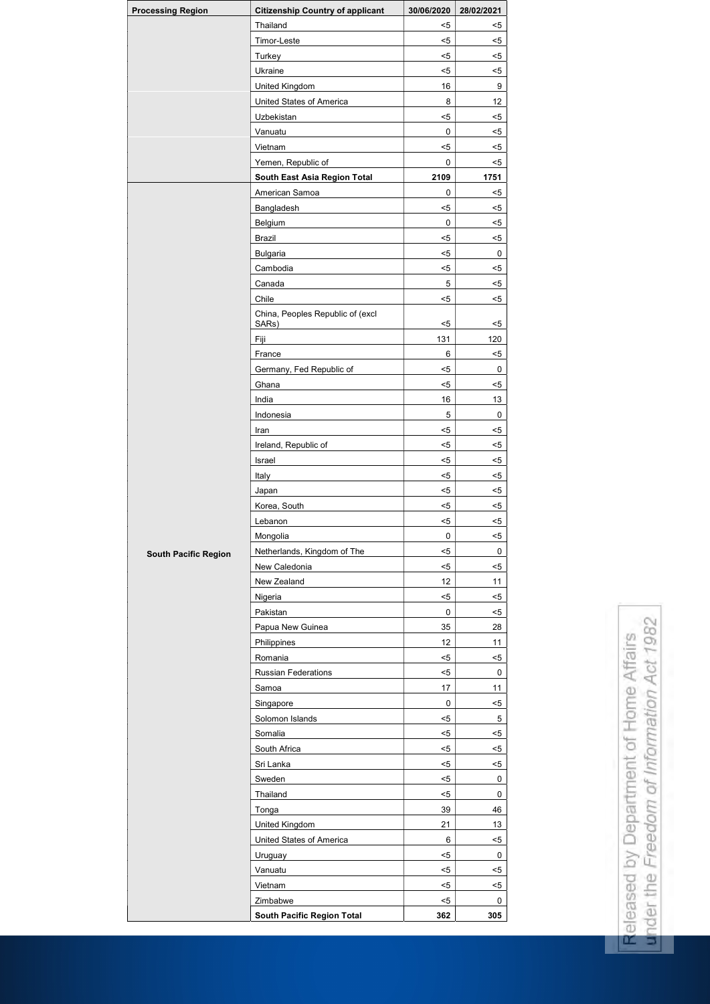| <b>Processing Region</b>    | <b>Citizenship Country of applicant</b> | 30/06/2020     | 28/02/2021  |
|-----------------------------|-----------------------------------------|----------------|-------------|
|                             | Thailand                                | $5$            | $5$         |
|                             | Timor-Leste                             | $5$            | $5$         |
|                             | Turkey                                  | $5$            | $5$         |
|                             | Ukraine                                 | $5$            | $5$         |
|                             | United Kingdom                          | 16             | 9           |
|                             | <b>United States of America</b>         | 8              | 12          |
|                             | Uzbekistan                              | $5$            | $5$         |
|                             | Vanuatu                                 | 0              | $5$         |
|                             | Vietnam                                 | $5$            | $5$         |
|                             | Yemen, Republic of                      | $\pmb{0}$      | $5$         |
|                             | South East Asia Region Total            | 2109           | 1751        |
|                             | American Samoa                          | 0              | $5$         |
|                             | Bangladesh                              | $5$            | $5$         |
|                             | Belgium                                 | 0              | $5$         |
|                             | <b>Brazil</b>                           | $5$            | $5$         |
|                             | <b>Bulgaria</b>                         | $5$            | 0           |
|                             | Cambodia                                | $5$            | $5$         |
|                             | Canada                                  | 5              | $5$         |
|                             | Chile                                   | $5$            | $5$         |
|                             | China, Peoples Republic of (excl        |                |             |
|                             | SARs)                                   | $5$            | $5$         |
|                             | Fiji                                    | 131            | 120         |
|                             | France                                  | $6\phantom{1}$ | $5$         |
|                             | Germany, Fed Republic of                | $5$            | 0           |
|                             | Ghana                                   | $5$            | $5$         |
|                             | India                                   | 16             | 13          |
|                             | Indonesia                               | 5              | $\mathbf 0$ |
|                             | Iran                                    | $5$            | $5$         |
|                             | Ireland, Republic of                    | $5$            | $5$         |
|                             | Israel                                  | $5$            | $5$         |
|                             | Italy                                   | $5$            | $5$         |
|                             | Japan                                   | $5$            | $5$         |
|                             | Korea, South                            | $5$            | $5$         |
|                             | Lebanon                                 | $5$            | $5$         |
|                             | Mongolia                                | $\pmb{0}$      | $5$         |
| <b>South Pacific Region</b> | Netherlands, Kingdom of The             | $5$            | $\mathbf 0$ |
|                             | New Caledonia                           | $5$            | $5$         |
|                             | New Zealand                             | 12             | 11          |
|                             | Nigeria                                 | $5$            | $5$         |
|                             | Pakistan                                | $\pmb{0}$      | $5$         |
|                             | Papua New Guinea                        | 35             | 28          |
|                             | Philippines                             | 12             | 11          |
|                             | Romania                                 | $5$            | $5$         |
|                             | <b>Russian Federations</b>              | $< 5$          | $\mathbf 0$ |
|                             | Samoa                                   | 17             | 11          |
|                             | Singapore                               | $\pmb{0}$      | $5$         |
|                             | Solomon Islands                         | $5$            | 5           |
|                             | Somalia                                 | $5$            | $5$         |
|                             | South Africa                            | $< 5$          | $5$         |
|                             | Sri Lanka                               | $5$            | $5$         |
|                             | Sweden                                  | $5$            | $\mathbf 0$ |
|                             | Thailand                                | $5$            | $\pmb{0}$   |
|                             | Tonga                                   | 39             | 46          |
|                             |                                         | 21             | 13          |
|                             | United Kingdom                          |                |             |
|                             | <b>United States of America</b>         | $\,6\,$        | $5$         |
|                             | Uruguay                                 | $5$            | $\pmb{0}$   |
|                             | Vanuatu                                 | $< 5$          | $5$         |
|                             | Vietnam                                 | $5$            | $5$         |
|                             | Zimbabwe                                | $5$            | $\mathbf 0$ |
|                             | <b>South Pacific Region Total</b>       | 362            | 305         |